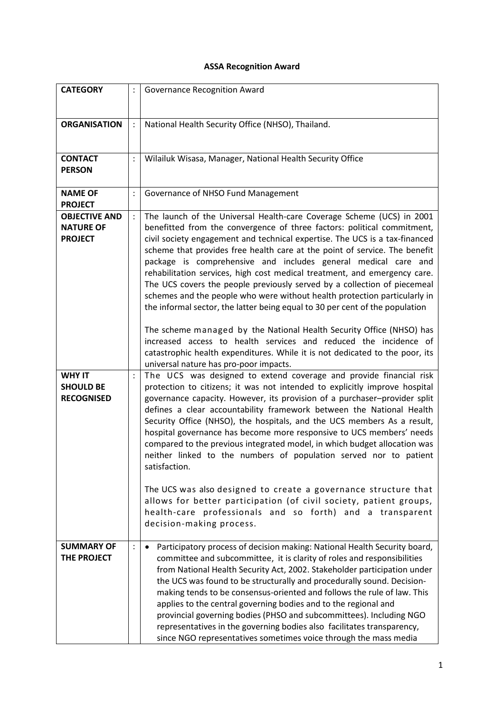## **ASSA Recognition Award**

| <b>CATEGORY</b>                                        |                | <b>Governance Recognition Award</b>                                                                                                                                                                                                                                                                                                                                                                                                                                                                                                                                                                                                                                                                                                                                                                                                                           |
|--------------------------------------------------------|----------------|---------------------------------------------------------------------------------------------------------------------------------------------------------------------------------------------------------------------------------------------------------------------------------------------------------------------------------------------------------------------------------------------------------------------------------------------------------------------------------------------------------------------------------------------------------------------------------------------------------------------------------------------------------------------------------------------------------------------------------------------------------------------------------------------------------------------------------------------------------------|
| <b>ORGANISATION</b>                                    |                | National Health Security Office (NHSO), Thailand.                                                                                                                                                                                                                                                                                                                                                                                                                                                                                                                                                                                                                                                                                                                                                                                                             |
| <b>CONTACT</b><br><b>PERSON</b>                        |                | Wilailuk Wisasa, Manager, National Health Security Office                                                                                                                                                                                                                                                                                                                                                                                                                                                                                                                                                                                                                                                                                                                                                                                                     |
| <b>NAME OF</b><br><b>PROJECT</b>                       | $\ddot{\cdot}$ | Governance of NHSO Fund Management                                                                                                                                                                                                                                                                                                                                                                                                                                                                                                                                                                                                                                                                                                                                                                                                                            |
| <b>OBJECTIVE AND</b>                                   | $\ddot{\cdot}$ | The launch of the Universal Health-care Coverage Scheme (UCS) in 2001                                                                                                                                                                                                                                                                                                                                                                                                                                                                                                                                                                                                                                                                                                                                                                                         |
| <b>NATURE OF</b><br><b>PROJECT</b>                     |                | benefitted from the convergence of three factors: political commitment,<br>civil society engagement and technical expertise. The UCS is a tax-financed<br>scheme that provides free health care at the point of service. The benefit<br>package is comprehensive and includes general medical care and<br>rehabilitation services, high cost medical treatment, and emergency care.<br>The UCS covers the people previously served by a collection of piecemeal<br>schemes and the people who were without health protection particularly in<br>the informal sector, the latter being equal to 30 per cent of the population<br>The scheme managed by the National Health Security Office (NHSO) has<br>increased access to health services and reduced the incidence of                                                                                      |
|                                                        |                | catastrophic health expenditures. While it is not dedicated to the poor, its<br>universal nature has pro-poor impacts.                                                                                                                                                                                                                                                                                                                                                                                                                                                                                                                                                                                                                                                                                                                                        |
| <b>WHY IT</b><br><b>SHOULD BE</b><br><b>RECOGNISED</b> | $\ddot{\cdot}$ | The UCS was designed to extend coverage and provide financial risk<br>protection to citizens; it was not intended to explicitly improve hospital<br>governance capacity. However, its provision of a purchaser-provider split<br>defines a clear accountability framework between the National Health<br>Security Office (NHSO), the hospitals, and the UCS members As a result,<br>hospital governance has become more responsive to UCS members' needs<br>compared to the previous integrated model, in which budget allocation was<br>neither linked to the numbers of population served nor to patient<br>satisfaction.<br>The UCS was also designed to create a governance structure that<br>allows for better participation (of civil society, patient groups,<br>health-care professionals and so forth) and a transparent<br>decision-making process. |
| <b>SUMMARY OF</b><br>THE PROJECT                       |                | Participatory process of decision making: National Health Security board,<br>$\bullet$<br>committee and subcommittee, it is clarity of roles and responsibilities<br>from National Health Security Act, 2002. Stakeholder participation under<br>the UCS was found to be structurally and procedurally sound. Decision-<br>making tends to be consensus-oriented and follows the rule of law. This<br>applies to the central governing bodies and to the regional and<br>provincial governing bodies (PHSO and subcommittees). Including NGO<br>representatives in the governing bodies also facilitates transparency,<br>since NGO representatives sometimes voice through the mass media                                                                                                                                                                    |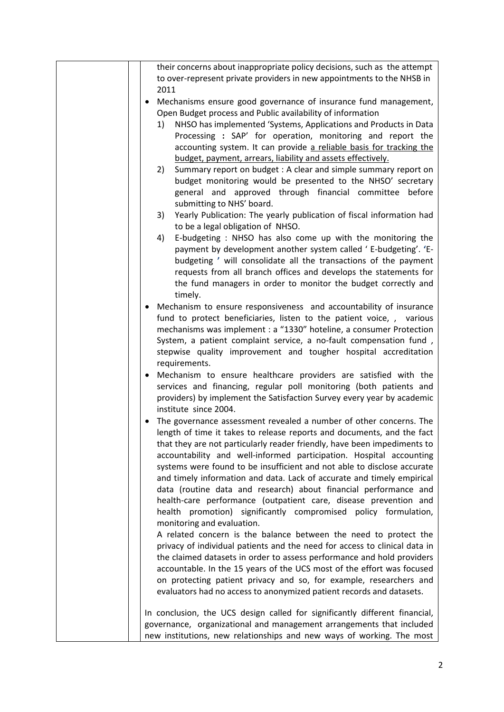| their concerns about inappropriate policy decisions, such as the attempt                                                                  |
|-------------------------------------------------------------------------------------------------------------------------------------------|
| to over-represent private providers in new appointments to the NHSB in                                                                    |
| 2011                                                                                                                                      |
| Mechanisms ensure good governance of insurance fund management,<br>$\bullet$                                                              |
| Open Budget process and Public availability of information                                                                                |
| NHSO has implemented 'Systems, Applications and Products in Data<br>1)                                                                    |
| Processing : SAP' for operation, monitoring and report the<br>accounting system. It can provide a reliable basis for tracking the         |
| budget, payment, arrears, liability and assets effectively.                                                                               |
| Summary report on budget : A clear and simple summary report on<br>2)                                                                     |
| budget monitoring would be presented to the NHSO' secretary                                                                               |
| general and approved through financial committee before                                                                                   |
| submitting to NHS' board.                                                                                                                 |
| Yearly Publication: The yearly publication of fiscal information had<br>3)                                                                |
| to be a legal obligation of NHSO.                                                                                                         |
| E-budgeting : NHSO has also come up with the monitoring the<br>4)                                                                         |
| payment by development another system called 'E-budgeting'. 'E-                                                                           |
| budgeting ' will consolidate all the transactions of the payment                                                                          |
| requests from all branch offices and develops the statements for                                                                          |
| the fund managers in order to monitor the budget correctly and                                                                            |
| timely.                                                                                                                                   |
| Mechanism to ensure responsiveness and accountability of insurance                                                                        |
| fund to protect beneficiaries, listen to the patient voice, , various                                                                     |
| mechanisms was implement : a "1330" hoteline, a consumer Protection<br>System, a patient complaint service, a no-fault compensation fund, |
| stepwise quality improvement and tougher hospital accreditation                                                                           |
| requirements.                                                                                                                             |
| • Mechanism to ensure healthcare providers are satisfied with the                                                                         |
| services and financing, regular poll monitoring (both patients and                                                                        |
| providers) by implement the Satisfaction Survey every year by academic                                                                    |
| institute since 2004.                                                                                                                     |
| The governance assessment revealed a number of other concerns. The                                                                        |
| length of time it takes to release reports and documents, and the fact                                                                    |
| that they are not particularly reader friendly, have been impediments to                                                                  |
| accountability and well-informed participation. Hospital accounting                                                                       |
| systems were found to be insufficient and not able to disclose accurate                                                                   |
| and timely information and data. Lack of accurate and timely empirical                                                                    |
| data (routine data and research) about financial performance and                                                                          |
| health-care performance (outpatient care, disease prevention and                                                                          |
| health promotion) significantly compromised policy formulation,                                                                           |
| monitoring and evaluation.                                                                                                                |
| A related concern is the balance between the need to protect the                                                                          |
| privacy of individual patients and the need for access to clinical data in                                                                |
| the claimed datasets in order to assess performance and hold providers                                                                    |
| accountable. In the 15 years of the UCS most of the effort was focused                                                                    |
| on protecting patient privacy and so, for example, researchers and                                                                        |
| evaluators had no access to anonymized patient records and datasets.                                                                      |
| In conclusion, the UCS design called for significantly different financial,                                                               |
| governance, organizational and management arrangements that included                                                                      |
| new institutions, new relationships and new ways of working. The most                                                                     |